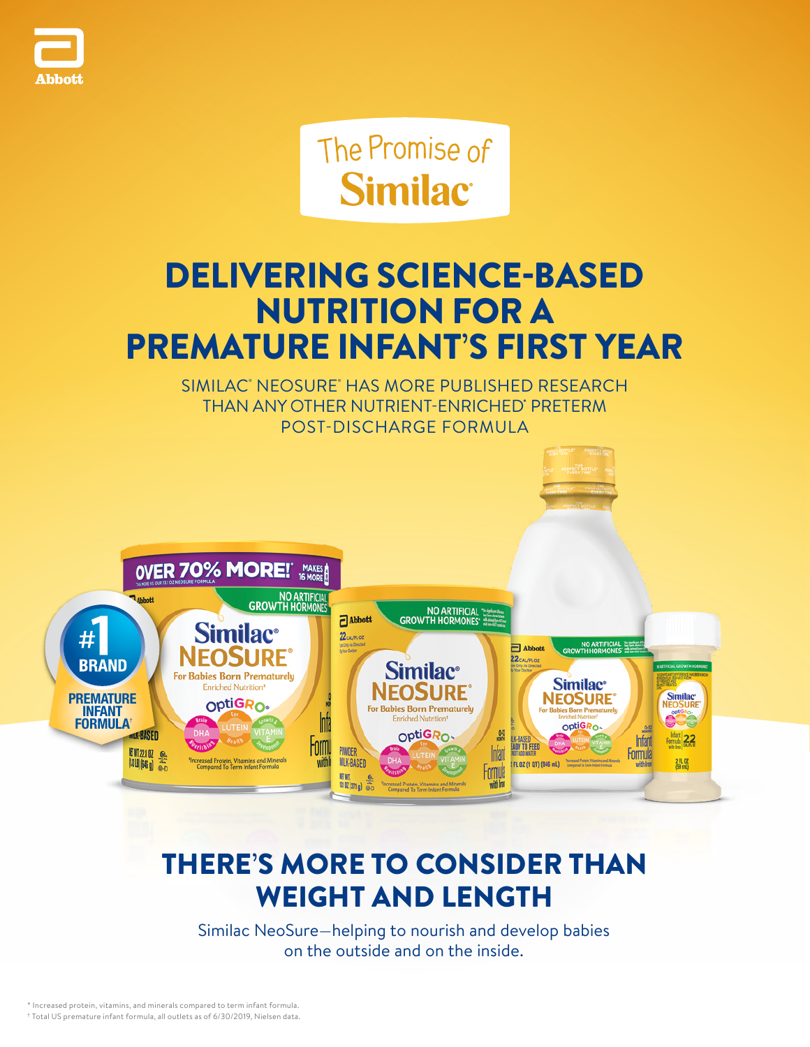

The Promise of **Similac** 

# DELIVERING SCIENCE-BASED NUTRITION FOR A PREMATURE INFANT'S FIRST YEAR

SIMILAC' NEOSURE' HAS MORE PUBLISHED RESEARCH THAN ANY OTHER NUTRIENT-ENRICHED' PRETERM POST-DISCHARGE FORMULA



## THERE'S MORE TO CONSIDER THAN WEIGHT AND LENGTH

Similac NeoSure—helping to nourish and develop babies on the outside and on the inside.

\* Increased protein, vitamins, and minerals compared to term infant formula. † Total US premature infant formula, all outlets as of 6/30/2019, Nielsen data.